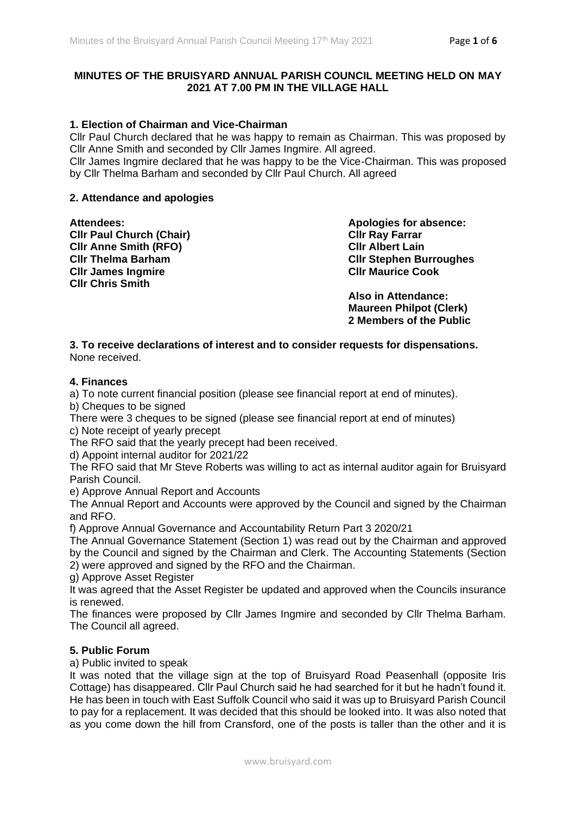## **MINUTES OF THE BRUISYARD ANNUAL PARISH COUNCIL MEETING HELD ON MAY 2021 AT 7.00 PM IN THE VILLAGE HALL**

## **1. Election of Chairman and Vice-Chairman**

Cllr Paul Church declared that he was happy to remain as Chairman. This was proposed by Cllr Anne Smith and seconded by Cllr James Ingmire. All agreed.

Cllr James Ingmire declared that he was happy to be the Vice-Chairman. This was proposed by Cllr Thelma Barham and seconded by Cllr Paul Church. All agreed

#### **2. Attendance and apologies**

**Cllr Paul Church (Chair) Cllr Ray Farrar Cllr Anne Smith (RFO) Cllr Albert Lain Cllr James Ingmire Cllr Maurice Cook Cllr Chris Smith**

**Attendees: Apologies for absence: Cllr Thelma Barham Cllr Stephen Burroughes**

> **Also in Attendance: Maureen Philpot (Clerk) 2 Members of the Public**

#### **3. To receive declarations of interest and to consider requests for dispensations.** None received.

#### **4. Finances**

a) To note current financial position (please see financial report at end of minutes).

b) Cheques to be signed

There were 3 cheques to be signed (please see financial report at end of minutes)

c) Note receipt of yearly precept

The RFO said that the yearly precept had been received.

d) Appoint internal auditor for 2021/22

The RFO said that Mr Steve Roberts was willing to act as internal auditor again for Bruisyard Parish Council.

e) Approve Annual Report and Accounts

The Annual Report and Accounts were approved by the Council and signed by the Chairman and RFO.

f) Approve Annual Governance and Accountability Return Part 3 2020/21

The Annual Governance Statement (Section 1) was read out by the Chairman and approved by the Council and signed by the Chairman and Clerk. The Accounting Statements (Section 2) were approved and signed by the RFO and the Chairman.

g) Approve Asset Register

It was agreed that the Asset Register be updated and approved when the Councils insurance is renewed.

The finances were proposed by Cllr James Ingmire and seconded by Cllr Thelma Barham. The Council all agreed.

### **5. Public Forum**

a) Public invited to speak

It was noted that the village sign at the top of Bruisyard Road Peasenhall (opposite Iris Cottage) has disappeared. Cllr Paul Church said he had searched for it but he hadn't found it. He has been in touch with East Suffolk Council who said it was up to Bruisyard Parish Council to pay for a replacement. It was decided that this should be looked into. It was also noted that as you come down the hill from Cransford, one of the posts is taller than the other and it is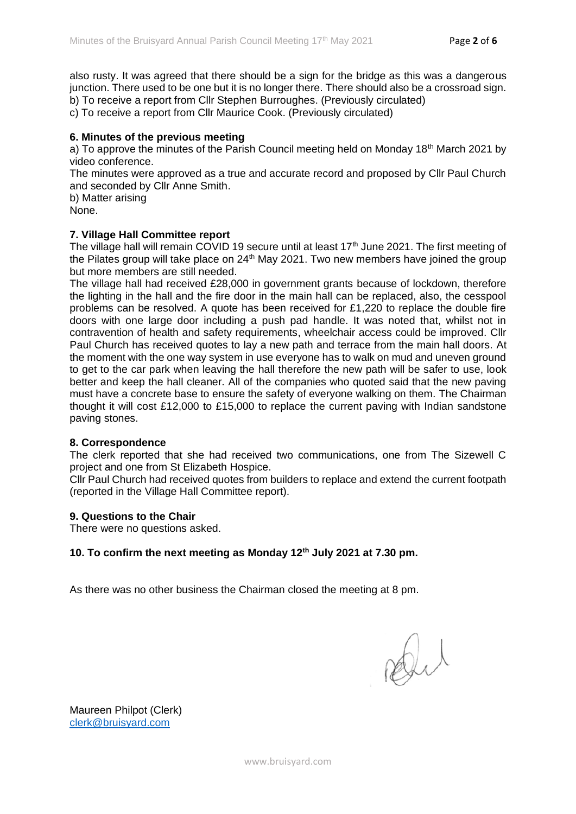also rusty. It was agreed that there should be a sign for the bridge as this was a dangerous junction. There used to be one but it is no longer there. There should also be a crossroad sign. b) To receive a report from Cllr Stephen Burroughes. (Previously circulated)

c) To receive a report from Cllr Maurice Cook. (Previously circulated)

#### **6. Minutes of the previous meeting**

a) To approve the minutes of the Parish Council meeting held on Monday 18<sup>th</sup> March 2021 by video conference.

The minutes were approved as a true and accurate record and proposed by Cllr Paul Church and seconded by Cllr Anne Smith.

b) Matter arising None.

#### **7. Village Hall Committee report**

The village hall will remain COVID 19 secure until at least 17<sup>th</sup> June 2021. The first meeting of the Pilates group will take place on  $24<sup>th</sup>$  May 2021. Two new members have joined the group but more members are still needed.

The village hall had received £28,000 in government grants because of lockdown, therefore the lighting in the hall and the fire door in the main hall can be replaced, also, the cesspool problems can be resolved. A quote has been received for £1,220 to replace the double fire doors with one large door including a push pad handle. It was noted that, whilst not in contravention of health and safety requirements, wheelchair access could be improved. Cllr Paul Church has received quotes to lay a new path and terrace from the main hall doors. At the moment with the one way system in use everyone has to walk on mud and uneven ground to get to the car park when leaving the hall therefore the new path will be safer to use, look better and keep the hall cleaner. All of the companies who quoted said that the new paving must have a concrete base to ensure the safety of everyone walking on them. The Chairman thought it will cost £12,000 to £15,000 to replace the current paving with Indian sandstone paving stones.

#### **8. Correspondence**

The clerk reported that she had received two communications, one from The Sizewell C project and one from St Elizabeth Hospice.

Cllr Paul Church had received quotes from builders to replace and extend the current footpath (reported in the Village Hall Committee report).

#### **9. Questions to the Chair**

There were no questions asked.

#### **10. To confirm the next meeting as Monday 12th July 2021 at 7.30 pm.**

As there was no other business the Chairman closed the meeting at 8 pm.

Dut

Maureen Philpot (Clerk) [clerk@bruisyard.com](mailto:clerk@bruisyard.com)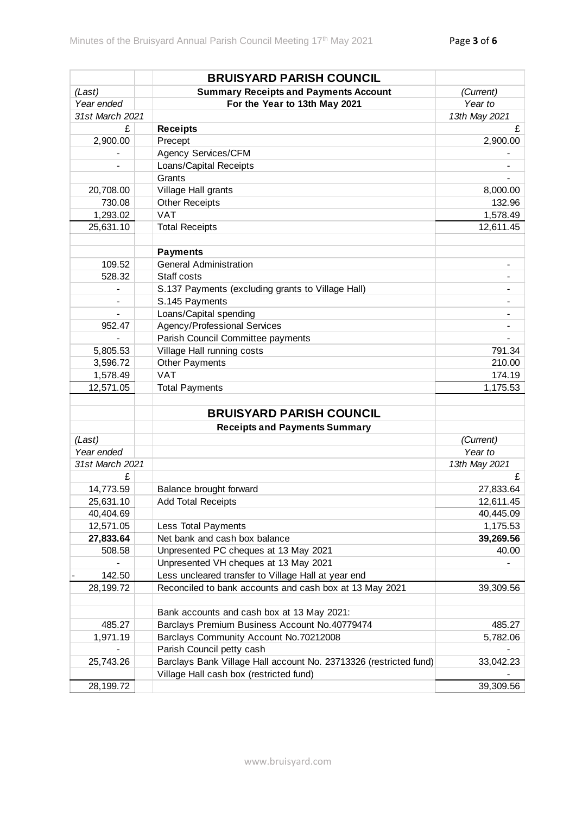|                 | <b>BRUISYARD PARISH COUNCIL</b>                                   |               |
|-----------------|-------------------------------------------------------------------|---------------|
| (Last)          | <b>Summary Receipts and Payments Account</b>                      | (Current)     |
| Year ended      | For the Year to 13th May 2021                                     | Year to       |
| 31st March 2021 |                                                                   | 13th May 2021 |
| £               | <b>Receipts</b>                                                   | £             |
| 2,900.00        | Precept                                                           | 2,900.00      |
|                 | Agency Services/CFM                                               |               |
|                 | Loans/Capital Receipts                                            |               |
|                 | Grants                                                            |               |
| 20,708.00       | Village Hall grants                                               | 8,000.00      |
| 730.08          | <b>Other Receipts</b>                                             | 132.96        |
| 1,293.02        | <b>VAT</b>                                                        | 1,578.49      |
| 25,631.10       | <b>Total Receipts</b>                                             | 12,611.45     |
|                 |                                                                   |               |
|                 | <b>Payments</b>                                                   |               |
| 109.52          | <b>General Administration</b>                                     |               |
| 528.32          | Staff costs                                                       |               |
|                 | S.137 Payments (excluding grants to Village Hall)                 |               |
|                 | S.145 Payments                                                    |               |
| $\overline{a}$  | Loans/Capital spending                                            |               |
| 952.47          | Agency/Professional Services                                      |               |
|                 | Parish Council Committee payments                                 |               |
| 5,805.53        | Village Hall running costs                                        | 791.34        |
| 3,596.72        | <b>Other Payments</b>                                             | 210.00        |
| 1,578.49        | <b>VAT</b>                                                        | 174.19        |
| 12,571.05       | <b>Total Payments</b>                                             | 1,175.53      |
|                 |                                                                   |               |
|                 | <b>BRUISYARD PARISH COUNCIL</b>                                   |               |
|                 | <b>Receipts and Payments Summary</b>                              |               |
| (Last)          |                                                                   | (Current)     |
| Year ended      |                                                                   | Year to       |
| 31st March 2021 |                                                                   | 13th May 2021 |
| £               |                                                                   | £             |
| 14,773.59       | Balance brought forward                                           | 27,833.64     |
| 25,631.10       | <b>Add Total Receipts</b>                                         | 12,611.45     |
| 40,404.69       |                                                                   | 40,445.09     |
| 12,571.05       | Less Total Payments                                               | 1,175.53      |
| 27,833.64       | Net bank and cash box balance                                     | 39,269.56     |
| 508.58          | Unpresented PC cheques at 13 May 2021                             | 40.00         |
|                 | Unpresented VH cheques at 13 May 2021                             |               |
| 142.50          | Less uncleared transfer to Village Hall at year end               |               |
| 28,199.72       | Reconciled to bank accounts and cash box at 13 May 2021           | 39,309.56     |
|                 |                                                                   |               |
|                 | Bank accounts and cash box at 13 May 2021:                        |               |
| 485.27          | Barclays Premium Business Account No.40779474                     | 485.27        |
| 1,971.19        | Barclays Community Account No.70212008                            | 5,782.06      |
|                 | Parish Council petty cash                                         |               |
| 25,743.26       | Barclays Bank Village Hall account No. 23713326 (restricted fund) | 33,042.23     |
|                 | Village Hall cash box (restricted fund)                           |               |
| 28,199.72       |                                                                   | 39,309.56     |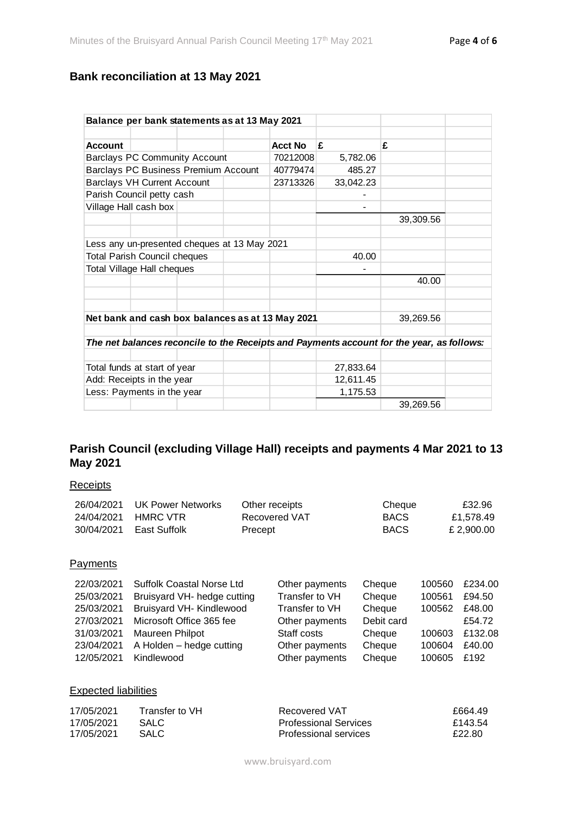# **Bank reconciliation at 13 May 2021**

| Balance per bank statements as at 13 May 2021                                             |                                              |  |          |                |           |           |  |
|-------------------------------------------------------------------------------------------|----------------------------------------------|--|----------|----------------|-----------|-----------|--|
|                                                                                           |                                              |  |          |                |           |           |  |
| <b>Account</b>                                                                            |                                              |  |          | <b>Acct No</b> | £         | £         |  |
| <b>Barclays PC Community Account</b>                                                      |                                              |  | 70212008 | 5,782.06       |           |           |  |
| Barclays PC Business Premium Account                                                      |                                              |  | 40779474 | 485.27         |           |           |  |
|                                                                                           | <b>Barclays VH Current Account</b>           |  |          | 23713326       | 33,042.23 |           |  |
|                                                                                           | Parish Council petty cash                    |  |          |                |           |           |  |
|                                                                                           | Village Hall cash box                        |  |          |                |           |           |  |
|                                                                                           |                                              |  |          |                |           | 39,309.56 |  |
|                                                                                           |                                              |  |          |                |           |           |  |
|                                                                                           | Less any un-presented cheques at 13 May 2021 |  |          |                |           |           |  |
| <b>Total Parish Council cheques</b>                                                       |                                              |  |          | 40.00          |           |           |  |
|                                                                                           | Total Village Hall cheques                   |  |          |                |           |           |  |
|                                                                                           |                                              |  |          |                |           | 40.00     |  |
|                                                                                           |                                              |  |          |                |           |           |  |
|                                                                                           |                                              |  |          |                |           |           |  |
| Net bank and cash box balances as at 13 May 2021                                          |                                              |  |          |                | 39,269.56 |           |  |
|                                                                                           |                                              |  |          |                |           |           |  |
| The net balances reconcile to the Receipts and Payments account for the year, as follows: |                                              |  |          |                |           |           |  |
|                                                                                           |                                              |  |          |                |           |           |  |
| Total funds at start of year                                                              |                                              |  |          | 27,833.64      |           |           |  |
| Add: Receipts in the year                                                                 |                                              |  |          | 12,611.45      |           |           |  |
| Less: Payments in the year                                                                |                                              |  |          | 1,175.53       |           |           |  |
|                                                                                           |                                              |  |          |                |           | 39,269.56 |  |

## **Parish Council (excluding Village Hall) receipts and payments 4 Mar 2021 to 13 May 2021**

## **Receipts**

| 26/04/2021                                              | <b>UK Power Networks</b>         |         | Other receipts                 | Cheque              |        | £32.96       |
|---------------------------------------------------------|----------------------------------|---------|--------------------------------|---------------------|--------|--------------|
| 24/04/2021                                              | <b>HMRC VTR</b>                  |         | <b>Recovered VAT</b>           | <b>BACS</b>         |        | £1,578.49    |
| 30/04/2021                                              | East Suffolk                     | Precept |                                | <b>BACS</b>         |        | £ 2,900.00   |
|                                                         |                                  |         |                                |                     |        |              |
| Payments                                                |                                  |         |                                |                     |        |              |
| 22/03/2021                                              | <b>Suffolk Coastal Norse Ltd</b> |         | Other payments                 | Cheque              | 100560 | £234.00      |
| 25/03/2021                                              | Bruisyard VH- hedge cutting      |         | Transfer to VH                 | Cheque              | 100561 | £94.50       |
| $\Omega$ = $\Omega$ $\Omega$ $\Omega$ $\Omega$ $\Omega$ |                                  |         | T. <b>f i</b> . <b>1 / i l</b> | $\bigcap_{i=1}^{n}$ | 100000 | $\sim$ 10.00 |

| 25/03/2021 | Bruisyard VH- hedge cutting | Transfer to VH | Cheque     | 100561 | £94.50  |
|------------|-----------------------------|----------------|------------|--------|---------|
| 25/03/2021 | Bruisyard VH- Kindlewood    | Transfer to VH | Cheque     | 100562 | £48.00  |
| 27/03/2021 | Microsoft Office 365 fee    | Other payments | Debit card |        | £54.72  |
| 31/03/2021 | Maureen Philpot             | Staff costs    | Cheque     | 100603 | £132.08 |
| 23/04/2021 | A Holden – hedge cutting    | Other payments | Cheque     | 100604 | £40.00  |
| 12/05/2021 | Kindlewood                  | Other payments | Cheque     | 100605 | £192    |
|            |                             |                |            |        |         |

#### Expected liabilities

| 17/05/2021 | Transfer to VH. | Recovered VAT                | £664.49 |
|------------|-----------------|------------------------------|---------|
| 17/05/2021 | <b>SALC</b>     | <b>Professional Services</b> | £143.54 |
| 17/05/2021 | SALC.           | Professional services        | £22.80  |

www.bruisyard.com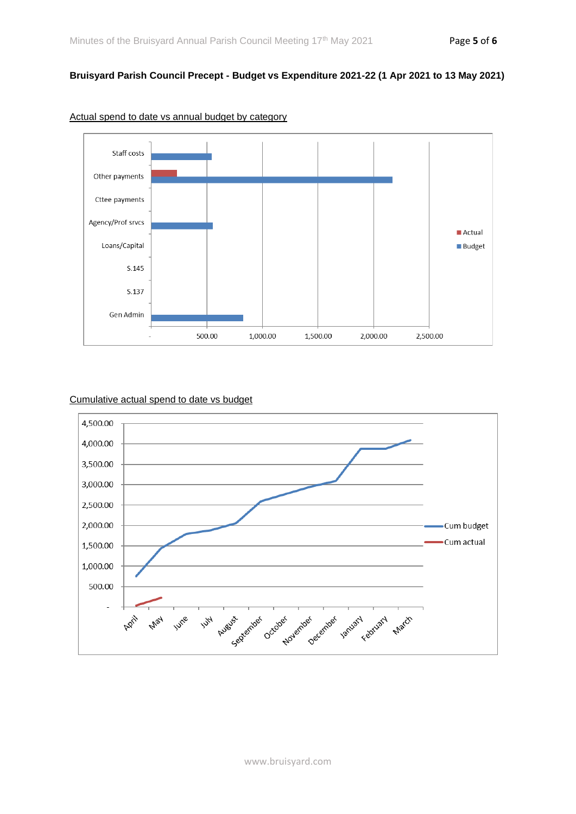## **Bruisyard Parish Council Precept - Budget vs Expenditure 2021-22 (1 Apr 2021 to 13 May 2021)**



#### Actual spend to date vs annual budget by category

## Cumulative actual spend to date vs budget